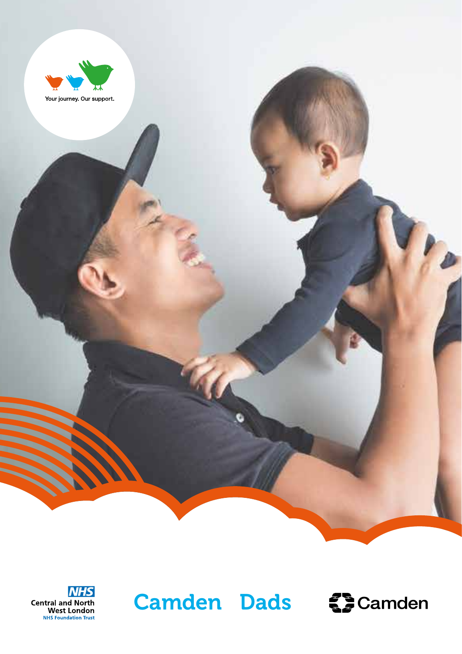





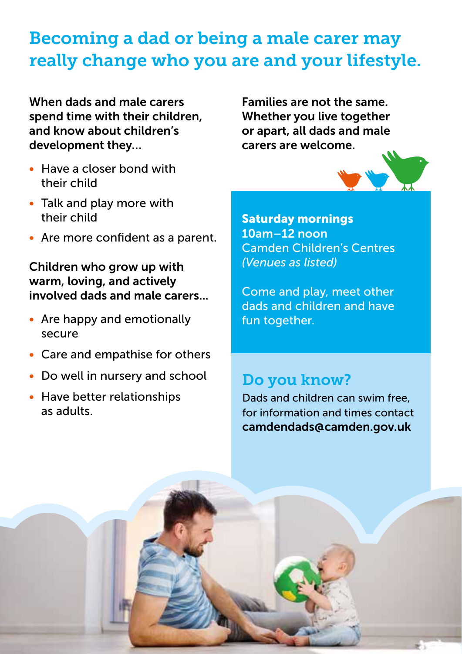# Becoming a dad or being a male carer may really change who you are and your lifestyle.

When dads and male carers spend time with their children, and know about children's development they…

- Have a closer bond with their child
- Talk and play more with their child
- Are more confident as a parent.

Children who grow up with warm, loving, and actively involved dads and male carers...

- Are happy and emotionally secure
- Care and empathise for others
- Do well in nursery and school
- Have better relationships as adults.

Families are not the same. Whether you live together or apart, all dads and male carers are welcome.



Saturday mornings 10am–12 noon Camden Children's Centres *(Venues as listed)*

Come and play, meet other dads and children and have fun together.

### Do you know?

Dads and children can swim free, for information and times contact camdendads@camden.gov.uk

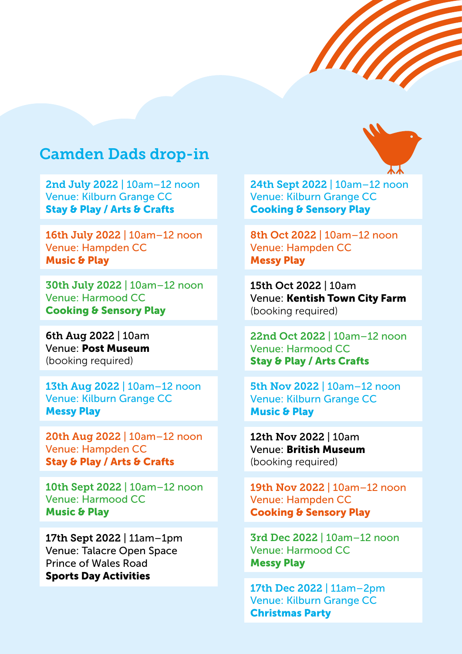## Camden Dads drop-in

2nd July 2022 | 10am–12 noon Venue: Kilburn Grange CC Stay & Play / Arts & Crafts

16th July 2022 | 10am–12 noon Venue: Hampden CC Music & Play

30th July 2022 | 10am–12 noon Venue: Harmood CC Cooking & Sensory Play

6th Aug 2022 | 10am Venue: Post Museum (booking required)

13th Aug 2022 | 10am–12 noon Venue: Kilburn Grange CC Messy Play

20th Aug 2022 | 10am–12 noon Venue: Hampden CC Stay & Play / Arts & Crafts

10th Sept 2022 | 10am–12 noon Venue: Harmood CC Music & Play

17th Sept 2022 | 11am–1pm Venue: Talacre Open Space Prince of Wales Road Sports Day Activities

24th Sept 2022 | 10am–12 noon Venue: Kilburn Grange CC Cooking & Sensory Play

8th Oct 2022 | 10am–12 noon Venue: Hampden CC Messy Play

15th Oct 2022 | 10am Venue: Kentish Town City Farm (booking required)

22nd Oct 2022 | 10am–12 noon Venue: Harmood CC Stay & Play / Arts Crafts

5th Nov 2022 | 10am–12 noon Venue: Kilburn Grange CC Music & Play

12th Nov 2022 | 10am Venue: British Museum (booking required)

19th Nov 2022 | 10am–12 noon Venue: Hampden CC Cooking & Sensory Play

3rd Dec 2022 | 10am–12 noon Venue: Harmood CC Messy Play

17th Dec 2022 | 11am–2pm Venue: Kilburn Grange CC Christmas Party